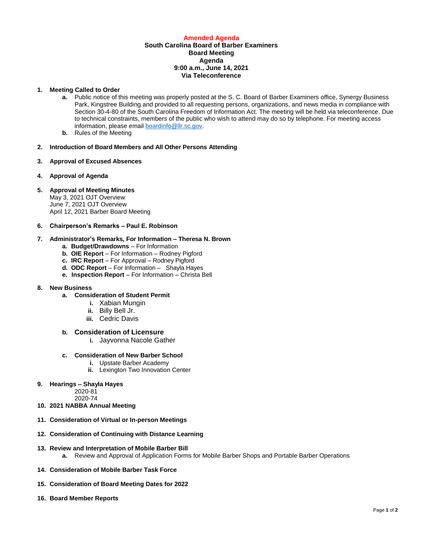## **Amended Agenda**

## **South Carolina Board of Barber Examiners Board Meeting Agenda 9:00 a.m., June 14, 2021 Via Teleconference**

#### **1. Meeting Called to Order**

- **a.** Public notice of this meeting was properly posted at the S. C. Board of Barber Examiners office, Synergy Business Park, Kingstree Building and provided to all requesting persons, organizations, and news media in compliance with Section 30-4-80 of the South Carolina Freedom of Information Act. The meeting will be held via teleconference. Due to technical constraints, members of the public who wish to attend may do so by telephone. For meeting access information, please emai[l boardinfo@llr.sc.gov.](mailto:boardinfo@llr.sc.gov)
- **b.** Rules of the Meeting
- **2. Introduction of Board Members and All Other Persons Attending**
- **3. Approval of Excused Absences**
- **4. Approval of Agenda**
- **5. Approval of Meeting Minutes**

May 3, 2021 OJT Overview June 7, 2021 OJT Overview April 12, 2021 Barber Board Meeting

### **6. Chairperson's Remarks – Paul E. Robinson**

# **7. Administrator's Remarks, For Information – Theresa N. Brown**

- **a. Budget/Drawdowns** For Information
- **b. OIE Report**  For Information Rodney Pigford
- **c. IRC Report**  For Approval Rodney Pigford
- **d. ODC Report**  For Information Shayla Hayes
- **e. Inspection Report** For Information Christa Bell

### **8. New Business**

- **a. Consideration of Student Permit** 
	- **i.** Xabian Mungin
	- **ii.** Billy Bell Jr.
	- **iii.** Cedric Davis

### **b. Consideration of Licensure**

**i.** Jayvonna Nacole Gather

#### **c. Consideration of New Barber School**

- **i.** Upstate Barber Academy
	- **ii.** Lexington Two Innovation Center
- **9. Hearings – Shayla Hayes**

2020-81

- 2020-74
- **10. 2021 NABBA Annual Meeting**
- **11. Consideration of Virtual or In-person Meetings**
- **12. Consideration of Continuing with Distance Learning**
- **13. Review and Interpretation of Mobile Barber Bill**
	- **a.** Review and Approval of Application Forms for Mobile Barber Shops and Portable Barber Operations
- **14. Consideration of Mobile Barber Task Force**
- **15. Consideration of Board Meeting Dates for 2022**
- **16. Board Member Reports**